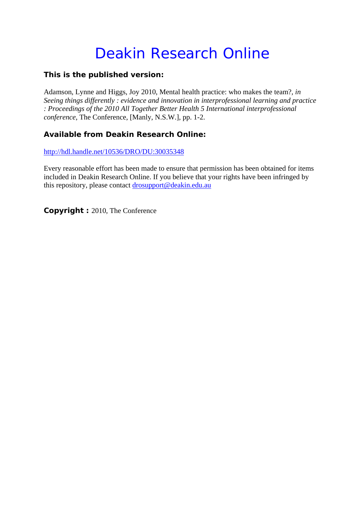## Deakin Research Online

## **This is the published version:**

Adamson, Lynne and Higgs, Joy 2010, Mental health practice: who makes the team?*, in Seeing things differently : evidence and innovation in interprofessional learning and practice : Proceedings of the 2010 All Together Better Health 5 International interprofessional conference*, The Conference, [Manly, N.S.W.], pp. 1-2.

## **Available from Deakin Research Online:**

http://hdl.handle.net/10536/DRO/DU:30035348

Every reasonable effort has been made to ensure that permission has been obtained for items included in Deakin Research Online. If you believe that your rights have been infringed by this repository, please contact drosupport@deakin.edu.au

**Copyright :** 2010, The Conference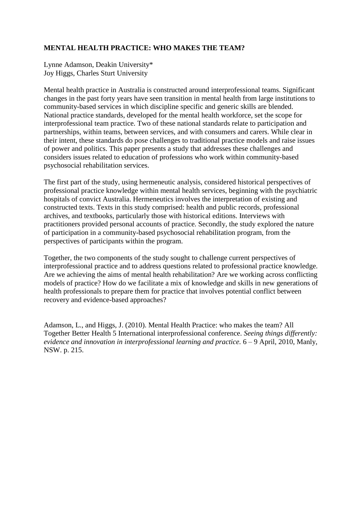## **MENTAL HEALTH PRACTICE: WHO MAKES THE TEAM?**

Lynne Adamson, Deakin University\* Joy Higgs, Charles Sturt University

Mental health practice in Australia is constructed around interprofessional teams. Significant changes in the past forty years have seen transition in mental health from large institutions to community-based services in which discipline specific and generic skills are blended. National practice standards, developed for the mental health workforce, set the scope for interprofessional team practice. Two of these national standards relate to participation and partnerships, within teams, between services, and with consumers and carers. While clear in their intent, these standards do pose challenges to traditional practice models and raise issues of power and politics. This paper presents a study that addresses these challenges and considers issues related to education of professions who work within community-based psychosocial rehabilitation services.

The first part of the study, using hermeneutic analysis, considered historical perspectives of professional practice knowledge within mental health services, beginning with the psychiatric hospitals of convict Australia. Hermeneutics involves the interpretation of existing and constructed texts. Texts in this study comprised: health and public records, professional archives, and textbooks, particularly those with historical editions. Interviews with practitioners provided personal accounts of practice. Secondly, the study explored the nature of participation in a community-based psychosocial rehabilitation program, from the perspectives of participants within the program.

Together, the two components of the study sought to challenge current perspectives of interprofessional practice and to address questions related to professional practice knowledge. Are we achieving the aims of mental health rehabilitation? Are we working across conflicting models of practice? How do we facilitate a mix of knowledge and skills in new generations of health professionals to prepare them for practice that involves potential conflict between recovery and evidence-based approaches?

Adamson, L., and Higgs, J. (2010). Mental Health Practice: who makes the team? All Together Better Health 5 International interprofessional conference. *Seeing things differently: evidence and innovation in interprofessional learning and practice.* 6 – 9 April, 2010, Manly, NSW. p. 215.